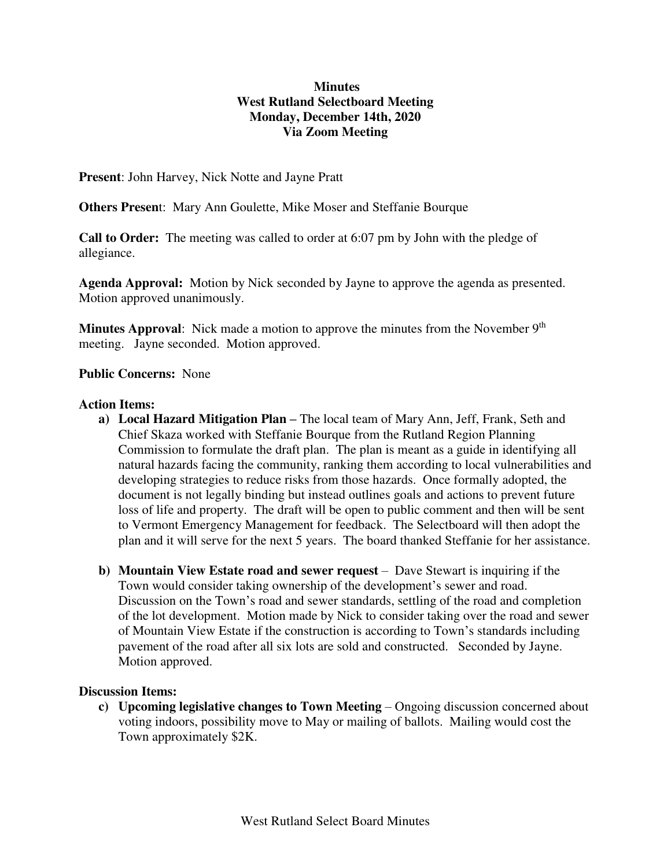## **Minutes West Rutland Selectboard Meeting Monday, December 14th, 2020 Via Zoom Meeting**

**Present**: John Harvey, Nick Notte and Jayne Pratt

**Others Presen**t: Mary Ann Goulette, Mike Moser and Steffanie Bourque

**Call to Order:** The meeting was called to order at 6:07 pm by John with the pledge of allegiance.

**Agenda Approval:** Motion by Nick seconded by Jayne to approve the agenda as presented. Motion approved unanimously.

**Minutes Approval**: Nick made a motion to approve the minutes from the November 9<sup>th</sup> meeting. Jayne seconded. Motion approved.

## **Public Concerns:** None

## **Action Items:**

- **a) Local Hazard Mitigation Plan –** The local team of Mary Ann, Jeff, Frank, Seth and Chief Skaza worked with Steffanie Bourque from the Rutland Region Planning Commission to formulate the draft plan. The plan is meant as a guide in identifying all natural hazards facing the community, ranking them according to local vulnerabilities and developing strategies to reduce risks from those hazards. Once formally adopted, the document is not legally binding but instead outlines goals and actions to prevent future loss of life and property. The draft will be open to public comment and then will be sent to Vermont Emergency Management for feedback. The Selectboard will then adopt the plan and it will serve for the next 5 years. The board thanked Steffanie for her assistance.
- **b) Mountain View Estate road and sewer request** Dave Stewart is inquiring if the Town would consider taking ownership of the development's sewer and road. Discussion on the Town's road and sewer standards, settling of the road and completion of the lot development. Motion made by Nick to consider taking over the road and sewer of Mountain View Estate if the construction is according to Town's standards including pavement of the road after all six lots are sold and constructed. Seconded by Jayne. Motion approved.

## **Discussion Items:**

**c) Upcoming legislative changes to Town Meeting** – Ongoing discussion concerned about voting indoors, possibility move to May or mailing of ballots. Mailing would cost the Town approximately \$2K.